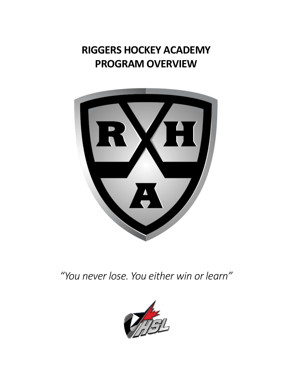**RIGGERS HOCKEY ACADEMY PROGRAM OVERVIEW**



*"You never lose. You either win or learn"*

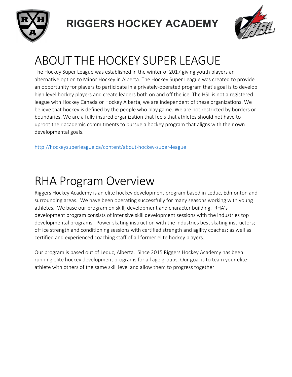



# ABOUT THE HOCKEY SUPER LEAGUE

The Hockey Super League was established in the winter of 2017 giving youth players an alternative option to Minor Hockey in Alberta. The Hockey Super League was created to provide an opportunity for players to participate in a privately-operated program that's goal is to develop high level hockey players and create leaders both on and off the ice. The HSL is not a registered league with Hockey Canada or Hockey Alberta, we are independent of these organizations. We believe that hockey is defined by the people who play game. We are not restricted by borders or boundaries. We are a fully insured organization that feels that athletes should not have to uproot their academic commitments to pursue a hockey program that aligns with their own developmental goals.

http://hockeysuperleague.ca/content/about-hockey-super-league

## **RHA Program Overview**

Riggers Hockey Academy is an elite hockey development program based in Leduc, Edmonton and surrounding areas. We have been operating successfully for many seasons working with young athletes. We base our program on skill, development and character building. RHA's development program consists of intensive skill development sessions with the industries top developmental programs. Power skating instruction with the industries best skating instructors; off ice strength and conditioning sessions with certified strength and agility coaches; as well as certified and experienced coaching staff of all former elite hockey players.

Our program is based out of Leduc, Alberta. Since 2015 Riggers Hockey Academy has been running elite hockey development programs for all age groups. Our goal is to team your elite athlete with others of the same skill level and allow them to progress together.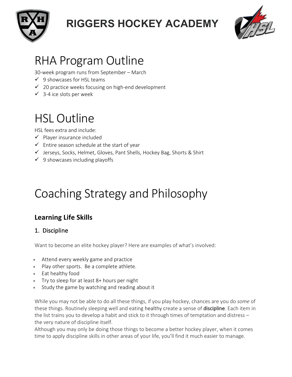



## **RHA Program Outline**

30-week program runs from September - March

- $\checkmark$  9 showcases for HSL teams
- $\checkmark$  20 practice weeks focusing on high-end development
- $\checkmark$  3-4 ice slots per week

# **HSL Outline**

HSL fees extra and include:

- $\checkmark$  Player insurance included
- $\checkmark$  Entire season schedule at the start of year
- $\checkmark$  Jerseys, Socks, Helmet, Gloves, Pant Shells, Hockey Bag, Shorts & Shirt
- $\checkmark$  9 showcases including playoffs

# Coaching Strategy and Philosophy

### **Learning Life Skills**

#### 1. Discipline

Want to become an elite hockey player? Here are examples of what's involved:

- Attend every weekly game and practice
- Play other sports. Be a complete athlete.
- Eat healthy food
- Try to sleep for at least 8+ hours per night
- Study the game by watching and reading about it

While you may not be able to do all these things, if you play hockey, chances are you do *some* of these things. Routinely sleeping well and eating healthy create a sense of discipline. Each item in the list trains you to develop a habit and stick to it through times of temptation and distress  $$ the very nature of discipline itself.

Although you may only be doing those things to become a better hockey player, when it comes time to apply discipline skills in other areas of your life, you'll find it much easier to manage.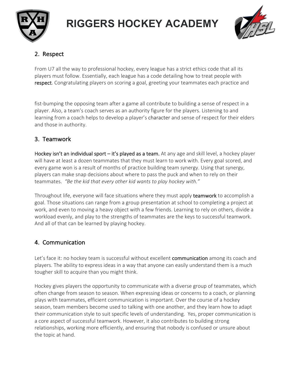



### 2. Respect

From U7 all the way to professional hockey, every league has a strict ethics code that all its players must follow. Essentially, each league has a code detailing how to treat people with respect. Congratulating players on scoring a goal, greeting your teammates each practice and

fist-bumping the opposing team after a game all contribute to building a sense of respect in a player. Also, a team's coach serves as an authority figure for the players. Listening to and learning from a coach helps to develop a player's character and sense of respect for their elders and those in authority.

#### 3. Teamwork

Hockey isn't an individual sport  $-$  it's played as a team. At any age and skill level, a hockey player will have at least a dozen teammates that they must learn to work with. Every goal scored, and every game won is a result of months of practice building team synergy. Using that synergy, players can make snap decisions about where to pass the puck and when to rely on their teammates. "Be the kid that every other kid wants to play hockey with."

Throughout life, everyone will face situations where they must apply **teamwork** to accomplish a goal. Those situations can range from a group presentation at school to completing a project at work, and even to moving a heavy object with a few friends. Learning to rely on others, divide a workload evenly, and play to the strengths of teammates are the keys to successful teamwork. And all of that can be learned by playing hockey.

#### 4. Communication

Let's face it: no hockey team is successful without excellent **communication** among its coach and players. The ability to express ideas in a way that anyone can easily understand them is a much tougher skill to acquire than you might think.

Hockey gives players the opportunity to communicate with a diverse group of teammates, which often change from season to season. When expressing ideas or concerns to a coach, or planning plays with teammates, efficient communication is important. Over the course of a hockey season, team members become used to talking with one another, and they learn how to adapt their communication style to suit specific levels of understanding. Yes, proper communication is a core aspect of successful teamwork. However, it also contributes to building strong relationships, working more efficiently, and ensuring that nobody is confused or unsure about the topic at hand.